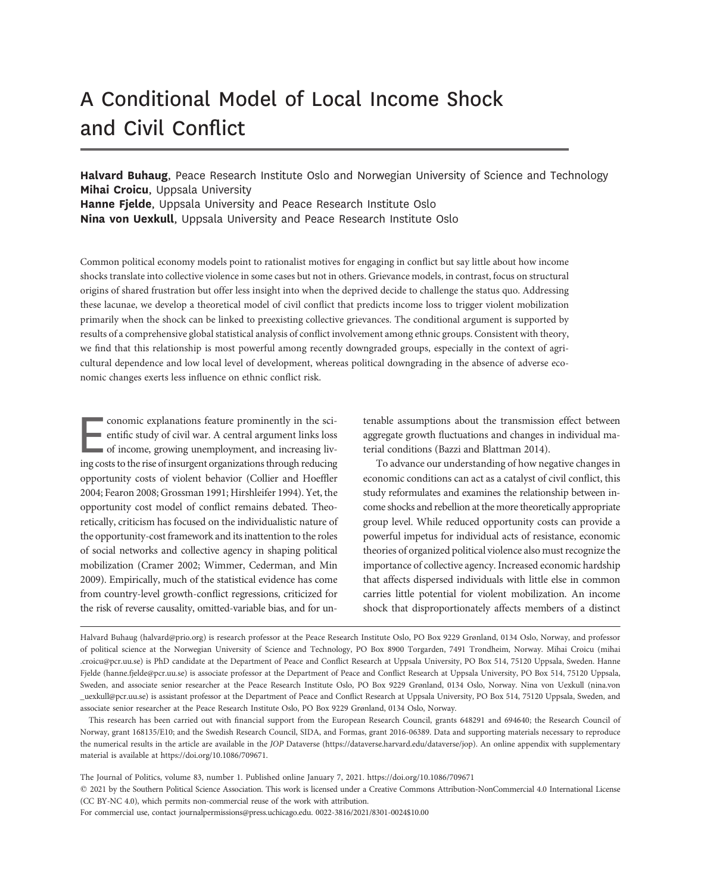# A Conditional Model of Local Income Shock and Civil Conflict

Halvard Buhaug, Peace Research Institute Oslo and Norwegian University of Science and Technology Mihai Croicu, Uppsala University Hanne Fjelde, Uppsala University and Peace Research Institute Oslo Nina von Uexkull, Uppsala University and Peace Research Institute Oslo

Common political economy models point to rationalist motives for engaging in conflict but say little about how income shocks translate into collective violence in some cases but not in others. Grievance models, in contrast, focus on structural origins of shared frustration but offer less insight into when the deprived decide to challenge the status quo. Addressing these lacunae, we develop a theoretical model of civil conflict that predicts income loss to trigger violent mobilization primarily when the shock can be linked to preexisting collective grievances. The conditional argument is supported by results of a comprehensive global statistical analysis of conflict involvement among ethnic groups. Consistent with theory, we find that this relationship is most powerful among recently downgraded groups, especially in the context of agricultural dependence and low local level of development, whereas political downgrading in the absence of adverse economic changes exerts less influence on ethnic conflict risk.

conomic explanations feature prominently in the scientific study of civil war. A central argument links loss of income, growing unemployment, and increasing living costs to the rise of insurgent organizations through reduc entific study of civil war. A central argument links loss of income, growing unemployment, and increasing living costs to the rise of insurgent organizations through reducing opportunity costs of violent behavior (Collier and Hoeffler 2004; Fearon 2008; Grossman 1991; Hirshleifer 1994). Yet, the opportunity cost model of conflict remains debated. Theoretically, criticism has focused on the individualistic nature of the opportunity-cost framework and its inattention to the roles of social networks and collective agency in shaping political mobilization (Cramer 2002; Wimmer, Cederman, and Min 2009). Empirically, much of the statistical evidence has come from country-level growth-conflict regressions, criticized for the risk of reverse causality, omitted-variable bias, and for un-

tenable assumptions about the transmission effect between aggregate growth fluctuations and changes in individual material conditions (Bazzi and Blattman 2014).

To advance our understanding of how negative changes in economic conditions can act as a catalyst of civil conflict, this study reformulates and examines the relationship between income shocks and rebellion at the more theoretically appropriate group level. While reduced opportunity costs can provide a powerful impetus for individual acts of resistance, economic theories of organized political violence also must recognize the importance of collective agency. Increased economic hardship that affects dispersed individuals with little else in common carries little potential for violent mobilization. An income shock that disproportionately affects members of a distinct

The Journal of Politics, volume 83, number 1. Published online January 7, 2021. https://doi.org/10.1086/709671

q 2021 by the Southern Political Science Association. This work is licensed under a Creative Commons Attribution-NonCommercial 4.0 International License (CC BY-NC 4.0), which permits non-commercial reuse of the work with attribution.

For commercial use, contact [journalpermissions@press.uchicago.edu.](mailto:journalpermissions@press.uchicago.edu) 0022-3816/2021/8301-0024\$10.00

Halvard Buhaug [\(halvard@prio.org\)](mailto:halvard@prio.org) is research professor at the Peace Research Institute Oslo, PO Box 9229 Grønland, 0134 Oslo, Norway, and professor of political science at the Norwegian University of Science and Technology, PO Box 8900 Torgarden, 7491 Trondheim, Norway. Mihai Croicu ([mihai](mailto:mihai.croicu@pcr.uu.se) [.croicu@pcr.uu.se\)](mailto:mihai.croicu@pcr.uu.se) is PhD candidate at the Department of Peace and Conflict Research at Uppsala University, PO Box 514, 75120 Uppsala, Sweden. Hanne Fjelde [\(hanne.fjelde@pcr.uu.se](mailto:hanne.fjelde@pcr.uu.se)) is associate professor at the Department of Peace and Conflict Research at Uppsala University, PO Box 514, 75120 Uppsala, Sweden, and associate senior researcher at the Peace Research Institute Oslo, PO Box 9229 Grønland, 0134 Oslo, Norway. Nina von Uexkull [\(nina.von](mailto:nina.von_uexkull@pcr.uu.se) [\\_uexkull@pcr.uu.se\)](mailto:nina.von_uexkull@pcr.uu.se) is assistant professor at the Department of Peace and Conflict Research at Uppsala University, PO Box 514, 75120 Uppsala, Sweden, and associate senior researcher at the Peace Research Institute Oslo, PO Box 9229 Grønland, 0134 Oslo, Norway.

This research has been carried out with financial support from the European Research Council, grants 648291 and 694640; the Research Council of Norway, grant 168135/E10; and the Swedish Research Council, SIDA, and Formas, grant 2016-06389. Data and supporting materials necessary to reproduce the numerical results in the article are available in the JOP Dataverse (<https://dataverse.harvard.edu/dataverse/jop>). An online appendix with supplementary material is available at<https://doi.org/10.1086/709671>.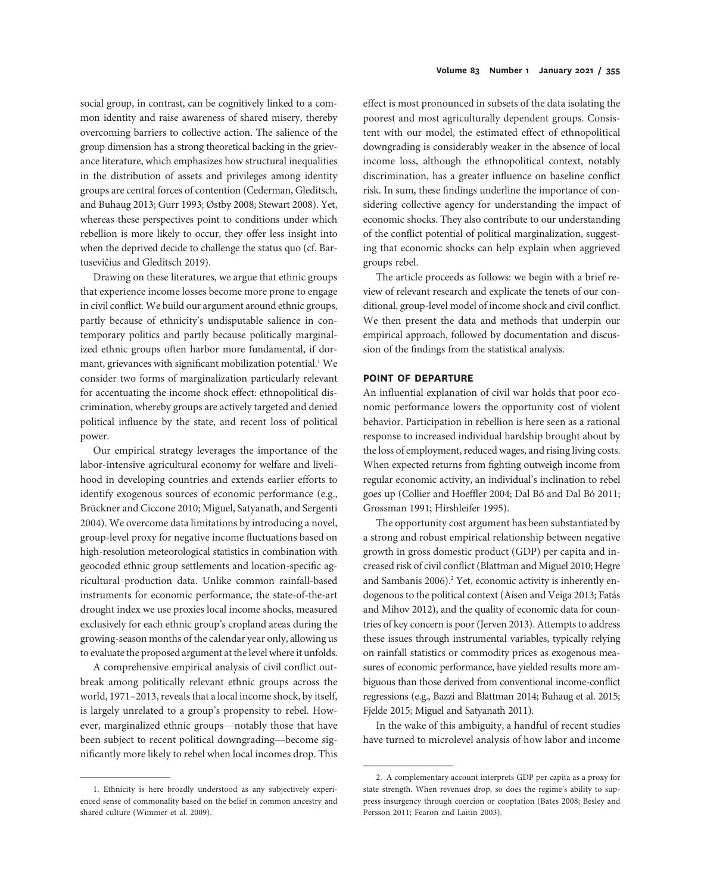social group, in contrast, can be cognitively linked to a common identity and raise awareness of shared misery, thereby overcoming barriers to collective action. The salience of the group dimension has a strong theoretical backing in the grievance literature, which emphasizes how structural inequalities in the distribution of assets and privileges among identity groups are central forces of contention (Cederman, Gleditsch, and Buhaug 2013; Gurr 1993; Østby 2008; Stewart 2008). Yet, whereas these perspectives point to conditions under which rebellion is more likely to occur, they offer less insight into when the deprived decide to challenge the status quo (cf. Bartusevičius and Gleditsch 2019).

Drawing on these literatures, we argue that ethnic groups that experience income losses become more prone to engage in civil conflict. We build our argument around ethnic groups, partly because of ethnicity's undisputable salience in contemporary politics and partly because politically marginalized ethnic groups often harbor more fundamental, if dormant, grievances with significant mobilization potential.<sup>1</sup> We consider two forms of marginalization particularly relevant for accentuating the income shock effect: ethnopolitical discrimination, whereby groups are actively targeted and denied political influence by the state, and recent loss of political power.

Our empirical strategy leverages the importance of the labor-intensive agricultural economy for welfare and livelihood in developing countries and extends earlier efforts to identify exogenous sources of economic performance (e.g., Brückner and Ciccone 2010; Miguel, Satyanath, and Sergenti 2004). We overcome data limitations by introducing a novel, group-level proxy for negative income fluctuations based on high-resolution meteorological statistics in combination with geocoded ethnic group settlements and location-specific agricultural production data. Unlike common rainfall-based instruments for economic performance, the state-of-the-art drought index we use proxies local income shocks, measured exclusively for each ethnic group's cropland areas during the growing-season months of the calendar year only, allowing us to evaluate the proposed argument at the level where it unfolds.

A comprehensive empirical analysis of civil conflict outbreak among politically relevant ethnic groups across the world, 1971–2013, reveals that a local income shock, by itself, is largely unrelated to a group's propensity to rebel. However, marginalized ethnic groups—notably those that have been subject to recent political downgrading—become significantly more likely to rebel when local incomes drop. This

effect is most pronounced in subsets of the data isolating the poorest and most agriculturally dependent groups. Consistent with our model, the estimated effect of ethnopolitical downgrading is considerably weaker in the absence of local income loss, although the ethnopolitical context, notably discrimination, has a greater influence on baseline conflict risk. In sum, these findings underline the importance of considering collective agency for understanding the impact of economic shocks. They also contribute to our understanding of the conflict potential of political marginalization, suggesting that economic shocks can help explain when aggrieved groups rebel.

The article proceeds as follows: we begin with a brief review of relevant research and explicate the tenets of our conditional, group-level model of income shock and civil conflict. We then present the data and methods that underpin our empirical approach, followed by documentation and discussion of the findings from the statistical analysis.

### POINT OF DEPARTURE

An influential explanation of civil war holds that poor economic performance lowers the opportunity cost of violent behavior. Participation in rebellion is here seen as a rational response to increased individual hardship brought about by the loss of employment, reduced wages, and rising living costs. When expected returns from fighting outweigh income from regular economic activity, an individual's inclination to rebel goes up (Collier and Hoeffler 2004; Dal Bó and Dal Bó 2011; Grossman 1991; Hirshleifer 1995).

The opportunity cost argument has been substantiated by a strong and robust empirical relationship between negative growth in gross domestic product (GDP) per capita and increased risk of civil conflict (Blattman and Miguel 2010; Hegre and Sambanis 2006).<sup>2</sup> Yet, economic activity is inherently endogenous to the political context (Aisen and Veiga 2013; Fatás and Mihov 2012), and the quality of economic data for countries of key concern is poor (Jerven 2013). Attempts to address these issues through instrumental variables, typically relying on rainfall statistics or commodity prices as exogenous measures of economic performance, have yielded results more ambiguous than those derived from conventional income-conflict regressions (e.g., Bazzi and Blattman 2014; Buhaug et al. 2015; Fjelde 2015; Miguel and Satyanath 2011).

In the wake of this ambiguity, a handful of recent studies have turned to microlevel analysis of how labor and income

<sup>1.</sup> Ethnicity is here broadly understood as any subjectively experienced sense of commonality based on the belief in common ancestry and shared culture (Wimmer et al. 2009).

<sup>2.</sup> A complementary account interprets GDP per capita as a proxy for state strength. When revenues drop, so does the regime's ability to suppress insurgency through coercion or cooptation (Bates 2008; Besley and Persson 2011; Fearon and Laitin 2003).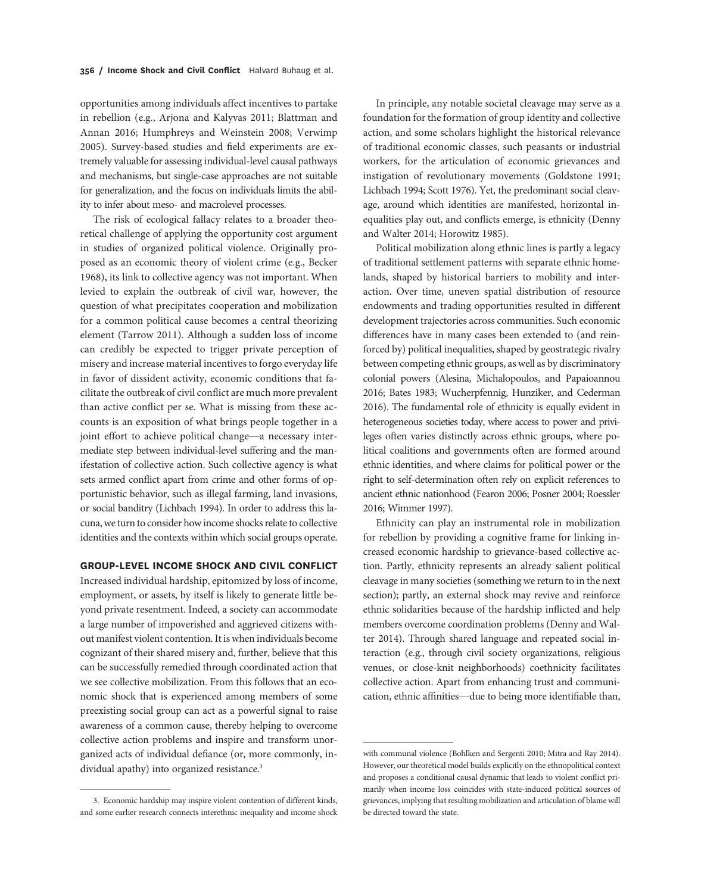opportunities among individuals affect incentives to partake in rebellion (e.g., Arjona and Kalyvas 2011; Blattman and Annan 2016; Humphreys and Weinstein 2008; Verwimp 2005). Survey-based studies and field experiments are extremely valuable for assessing individual-level causal pathways and mechanisms, but single-case approaches are not suitable for generalization, and the focus on individuals limits the ability to infer about meso- and macrolevel processes.

The risk of ecological fallacy relates to a broader theoretical challenge of applying the opportunity cost argument in studies of organized political violence. Originally proposed as an economic theory of violent crime (e.g., Becker 1968), its link to collective agency was not important. When levied to explain the outbreak of civil war, however, the question of what precipitates cooperation and mobilization for a common political cause becomes a central theorizing element (Tarrow 2011). Although a sudden loss of income can credibly be expected to trigger private perception of misery and increase material incentives to forgo everyday life in favor of dissident activity, economic conditions that facilitate the outbreak of civil conflict are much more prevalent than active conflict per se. What is missing from these accounts is an exposition of what brings people together in a joint effort to achieve political change—a necessary intermediate step between individual-level suffering and the manifestation of collective action. Such collective agency is what sets armed conflict apart from crime and other forms of opportunistic behavior, such as illegal farming, land invasions, or social banditry (Lichbach 1994). In order to address this lacuna, we turn to consider how income shocks relate to collective identities and the contexts within which social groups operate.

# GROUP-LEVEL INCOME SHOCK AND CIVIL CONFLICT

Increased individual hardship, epitomized by loss of income, employment, or assets, by itself is likely to generate little beyond private resentment. Indeed, a society can accommodate a large number of impoverished and aggrieved citizens without manifest violent contention. It is when individuals become cognizant of their shared misery and, further, believe that this can be successfully remedied through coordinated action that we see collective mobilization. From this follows that an economic shock that is experienced among members of some preexisting social group can act as a powerful signal to raise awareness of a common cause, thereby helping to overcome collective action problems and inspire and transform unorganized acts of individual defiance (or, more commonly, individual apathy) into organized resistance.<sup>3</sup>

In principle, any notable societal cleavage may serve as a foundation for the formation of group identity and collective action, and some scholars highlight the historical relevance of traditional economic classes, such peasants or industrial workers, for the articulation of economic grievances and instigation of revolutionary movements (Goldstone 1991; Lichbach 1994; Scott 1976). Yet, the predominant social cleavage, around which identities are manifested, horizontal inequalities play out, and conflicts emerge, is ethnicity (Denny and Walter 2014; Horowitz 1985).

Political mobilization along ethnic lines is partly a legacy of traditional settlement patterns with separate ethnic homelands, shaped by historical barriers to mobility and interaction. Over time, uneven spatial distribution of resource endowments and trading opportunities resulted in different development trajectories across communities. Such economic differences have in many cases been extended to (and reinforced by) political inequalities, shaped by geostrategic rivalry between competing ethnic groups, as well as by discriminatory colonial powers (Alesina, Michalopoulos, and Papaioannou 2016; Bates 1983; Wucherpfennig, Hunziker, and Cederman 2016). The fundamental role of ethnicity is equally evident in heterogeneous societies today, where access to power and privileges often varies distinctly across ethnic groups, where political coalitions and governments often are formed around ethnic identities, and where claims for political power or the right to self-determination often rely on explicit references to ancient ethnic nationhood (Fearon 2006; Posner 2004; Roessler 2016; Wimmer 1997).

Ethnicity can play an instrumental role in mobilization for rebellion by providing a cognitive frame for linking increased economic hardship to grievance-based collective action. Partly, ethnicity represents an already salient political cleavage in many societies (something we return to in the next section); partly, an external shock may revive and reinforce ethnic solidarities because of the hardship inflicted and help members overcome coordination problems (Denny and Walter 2014). Through shared language and repeated social interaction (e.g., through civil society organizations, religious venues, or close-knit neighborhoods) coethnicity facilitates collective action. Apart from enhancing trust and communication, ethnic affinities—due to being more identifiable than,

<sup>3.</sup> Economic hardship may inspire violent contention of different kinds, and some earlier research connects interethnic inequality and income shock

with communal violence (Bohlken and Sergenti 2010; Mitra and Ray 2014). However, our theoretical model builds explicitly on the ethnopolitical context and proposes a conditional causal dynamic that leads to violent conflict primarily when income loss coincides with state-induced political sources of grievances, implying that resulting mobilization and articulation of blame will be directed toward the state.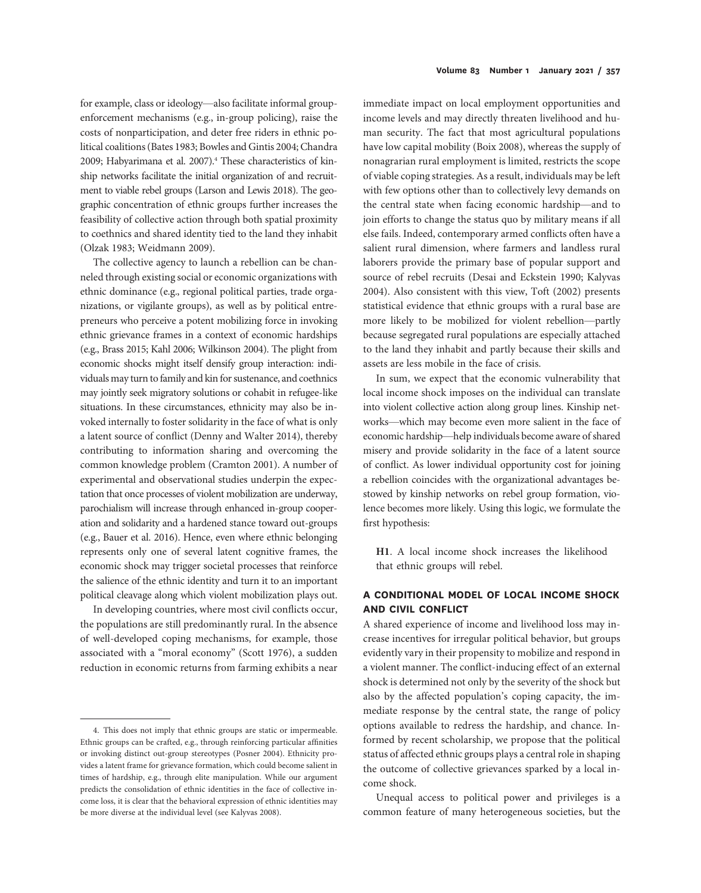for example, class or ideology—also facilitate informal groupenforcement mechanisms (e.g., in-group policing), raise the costs of nonparticipation, and deter free riders in ethnic political coalitions (Bates 1983; Bowles and Gintis 2004; Chandra 2009; Habyarimana et al. 2007).4 These characteristics of kinship networks facilitate the initial organization of and recruitment to viable rebel groups (Larson and Lewis 2018). The geographic concentration of ethnic groups further increases the feasibility of collective action through both spatial proximity to coethnics and shared identity tied to the land they inhabit (Olzak 1983; Weidmann 2009).

The collective agency to launch a rebellion can be channeled through existing social or economic organizations with ethnic dominance (e.g., regional political parties, trade organizations, or vigilante groups), as well as by political entrepreneurs who perceive a potent mobilizing force in invoking ethnic grievance frames in a context of economic hardships (e.g., Brass 2015; Kahl 2006; Wilkinson 2004). The plight from economic shocks might itself densify group interaction: individuals may turn to family and kin for sustenance, and coethnics may jointly seek migratory solutions or cohabit in refugee-like situations. In these circumstances, ethnicity may also be invoked internally to foster solidarity in the face of what is only a latent source of conflict (Denny and Walter 2014), thereby contributing to information sharing and overcoming the common knowledge problem (Cramton 2001). A number of experimental and observational studies underpin the expectation that once processes of violent mobilization are underway, parochialism will increase through enhanced in-group cooperation and solidarity and a hardened stance toward out-groups (e.g., Bauer et al. 2016). Hence, even where ethnic belonging represents only one of several latent cognitive frames, the economic shock may trigger societal processes that reinforce the salience of the ethnic identity and turn it to an important political cleavage along which violent mobilization plays out.

In developing countries, where most civil conflicts occur, the populations are still predominantly rural. In the absence of well-developed coping mechanisms, for example, those associated with a "moral economy" (Scott 1976), a sudden reduction in economic returns from farming exhibits a near

immediate impact on local employment opportunities and income levels and may directly threaten livelihood and human security. The fact that most agricultural populations have low capital mobility (Boix 2008), whereas the supply of nonagrarian rural employment is limited, restricts the scope of viable coping strategies. As a result, individuals may be left with few options other than to collectively levy demands on the central state when facing economic hardship—and to join efforts to change the status quo by military means if all else fails. Indeed, contemporary armed conflicts often have a salient rural dimension, where farmers and landless rural laborers provide the primary base of popular support and source of rebel recruits (Desai and Eckstein 1990; Kalyvas 2004). Also consistent with this view, Toft (2002) presents statistical evidence that ethnic groups with a rural base are more likely to be mobilized for violent rebellion—partly because segregated rural populations are especially attached to the land they inhabit and partly because their skills and assets are less mobile in the face of crisis.

In sum, we expect that the economic vulnerability that local income shock imposes on the individual can translate into violent collective action along group lines. Kinship networks—which may become even more salient in the face of economic hardship—help individuals become aware of shared misery and provide solidarity in the face of a latent source of conflict. As lower individual opportunity cost for joining a rebellion coincides with the organizational advantages bestowed by kinship networks on rebel group formation, violence becomes more likely. Using this logic, we formulate the first hypothesis:

H1. A local income shock increases the likelihood that ethnic groups will rebel.

# A CONDITIONAL MODEL OF LOCAL INCOME SHOCK AND CIVIL CONFLICT

A shared experience of income and livelihood loss may increase incentives for irregular political behavior, but groups evidently vary in their propensity to mobilize and respond in a violent manner. The conflict-inducing effect of an external shock is determined not only by the severity of the shock but also by the affected population's coping capacity, the immediate response by the central state, the range of policy options available to redress the hardship, and chance. Informed by recent scholarship, we propose that the political status of affected ethnic groups plays a central role in shaping the outcome of collective grievances sparked by a local income shock.

Unequal access to political power and privileges is a common feature of many heterogeneous societies, but the

<sup>4.</sup> This does not imply that ethnic groups are static or impermeable. Ethnic groups can be crafted, e.g., through reinforcing particular affinities or invoking distinct out-group stereotypes (Posner 2004). Ethnicity provides a latent frame for grievance formation, which could become salient in times of hardship, e.g., through elite manipulation. While our argument predicts the consolidation of ethnic identities in the face of collective income loss, it is clear that the behavioral expression of ethnic identities may be more diverse at the individual level (see Kalyvas 2008).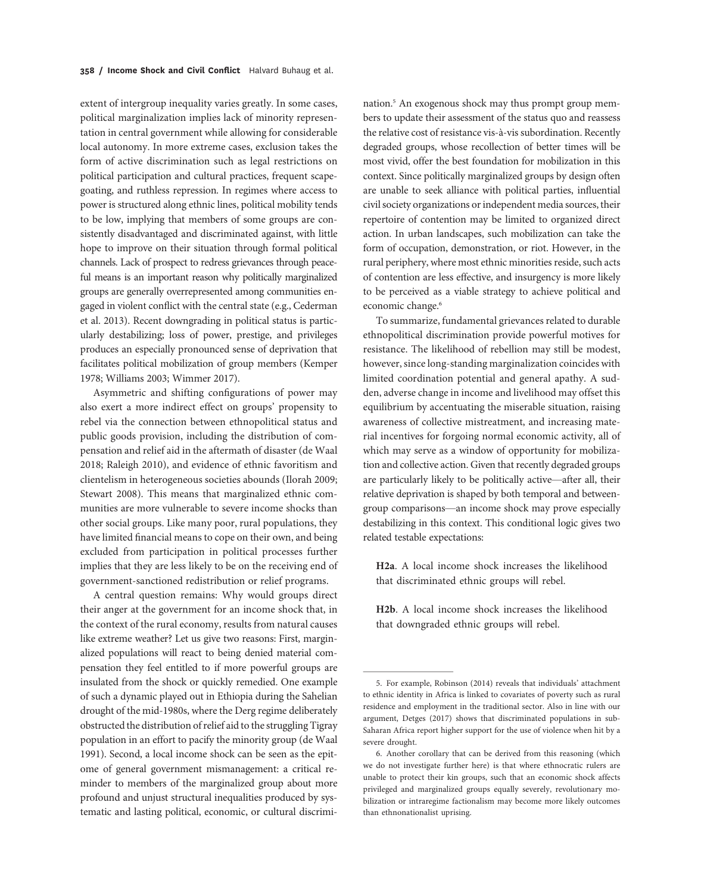extent of intergroup inequality varies greatly. In some cases, political marginalization implies lack of minority representation in central government while allowing for considerable local autonomy. In more extreme cases, exclusion takes the form of active discrimination such as legal restrictions on political participation and cultural practices, frequent scapegoating, and ruthless repression. In regimes where access to power is structured along ethnic lines, political mobility tends to be low, implying that members of some groups are consistently disadvantaged and discriminated against, with little hope to improve on their situation through formal political channels. Lack of prospect to redress grievances through peaceful means is an important reason why politically marginalized groups are generally overrepresented among communities engaged in violent conflict with the central state (e.g., Cederman et al. 2013). Recent downgrading in political status is particularly destabilizing; loss of power, prestige, and privileges produces an especially pronounced sense of deprivation that facilitates political mobilization of group members (Kemper 1978; Williams 2003; Wimmer 2017).

Asymmetric and shifting configurations of power may also exert a more indirect effect on groups' propensity to rebel via the connection between ethnopolitical status and public goods provision, including the distribution of compensation and relief aid in the aftermath of disaster (de Waal 2018; Raleigh 2010), and evidence of ethnic favoritism and clientelism in heterogeneous societies abounds (Ilorah 2009; Stewart 2008). This means that marginalized ethnic communities are more vulnerable to severe income shocks than other social groups. Like many poor, rural populations, they have limited financial means to cope on their own, and being excluded from participation in political processes further implies that they are less likely to be on the receiving end of government-sanctioned redistribution or relief programs.

A central question remains: Why would groups direct their anger at the government for an income shock that, in the context of the rural economy, results from natural causes like extreme weather? Let us give two reasons: First, marginalized populations will react to being denied material compensation they feel entitled to if more powerful groups are insulated from the shock or quickly remedied. One example of such a dynamic played out in Ethiopia during the Sahelian drought of the mid-1980s, where the Derg regime deliberately obstructed the distribution of relief aid to the struggling Tigray population in an effort to pacify the minority group (de Waal 1991). Second, a local income shock can be seen as the epitome of general government mismanagement: a critical reminder to members of the marginalized group about more profound and unjust structural inequalities produced by systematic and lasting political, economic, or cultural discrimi-

nation.5 An exogenous shock may thus prompt group members to update their assessment of the status quo and reassess the relative cost of resistance vis-à-vis subordination. Recently degraded groups, whose recollection of better times will be most vivid, offer the best foundation for mobilization in this context. Since politically marginalized groups by design often are unable to seek alliance with political parties, influential civil society organizations or independent media sources, their repertoire of contention may be limited to organized direct action. In urban landscapes, such mobilization can take the form of occupation, demonstration, or riot. However, in the rural periphery, where most ethnic minorities reside, such acts of contention are less effective, and insurgency is more likely to be perceived as a viable strategy to achieve political and economic change.<sup>6</sup>

To summarize, fundamental grievances related to durable ethnopolitical discrimination provide powerful motives for resistance. The likelihood of rebellion may still be modest, however, since long-standing marginalization coincides with limited coordination potential and general apathy. A sudden, adverse change in income and livelihood may offset this equilibrium by accentuating the miserable situation, raising awareness of collective mistreatment, and increasing material incentives for forgoing normal economic activity, all of which may serve as a window of opportunity for mobilization and collective action. Given that recently degraded groups are particularly likely to be politically active—after all, their relative deprivation is shaped by both temporal and betweengroup comparisons—an income shock may prove especially destabilizing in this context. This conditional logic gives two related testable expectations:

H2a. A local income shock increases the likelihood that discriminated ethnic groups will rebel.

H2b. A local income shock increases the likelihood that downgraded ethnic groups will rebel.

<sup>5.</sup> For example, Robinson (2014) reveals that individuals' attachment to ethnic identity in Africa is linked to covariates of poverty such as rural residence and employment in the traditional sector. Also in line with our argument, Detges (2017) shows that discriminated populations in sub-Saharan Africa report higher support for the use of violence when hit by a severe drought.

<sup>6.</sup> Another corollary that can be derived from this reasoning (which we do not investigate further here) is that where ethnocratic rulers are unable to protect their kin groups, such that an economic shock affects privileged and marginalized groups equally severely, revolutionary mobilization or intraregime factionalism may become more likely outcomes than ethnonationalist uprising.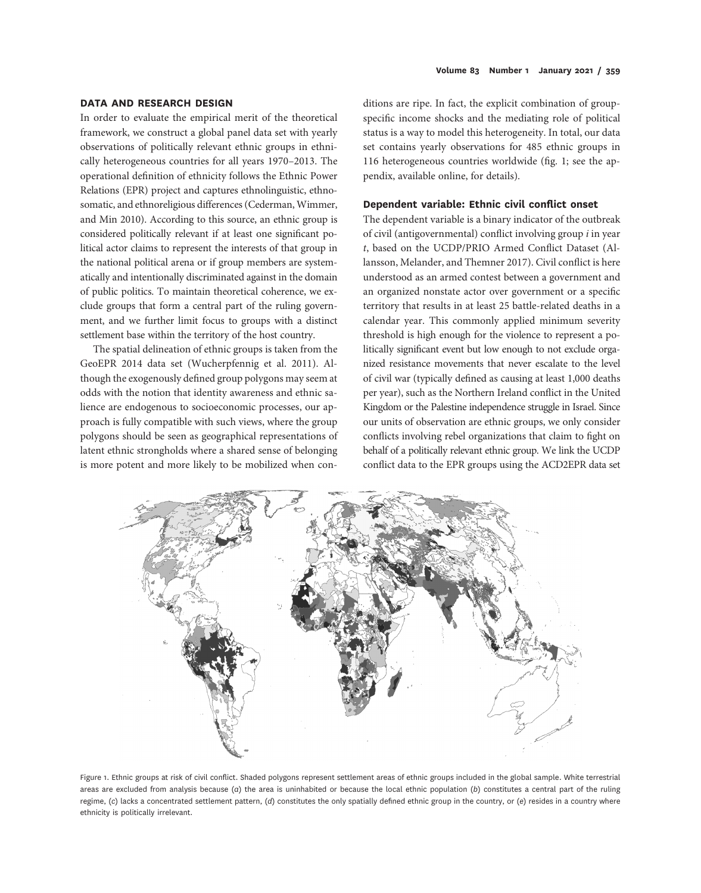In order to evaluate the empirical merit of the theoretical framework, we construct a global panel data set with yearly observations of politically relevant ethnic groups in ethnically heterogeneous countries for all years 1970–2013. The operational definition of ethnicity follows the Ethnic Power Relations (EPR) project and captures ethnolinguistic, ethnosomatic, and ethnoreligious differences (Cederman, Wimmer, and Min 2010). According to this source, an ethnic group is considered politically relevant if at least one significant political actor claims to represent the interests of that group in the national political arena or if group members are systematically and intentionally discriminated against in the domain of public politics. To maintain theoretical coherence, we exclude groups that form a central part of the ruling government, and we further limit focus to groups with a distinct settlement base within the territory of the host country.

The spatial delineation of ethnic groups is taken from the GeoEPR 2014 data set (Wucherpfennig et al. 2011). Although the exogenously defined group polygons may seem at odds with the notion that identity awareness and ethnic salience are endogenous to socioeconomic processes, our approach is fully compatible with such views, where the group polygons should be seen as geographical representations of latent ethnic strongholds where a shared sense of belonging is more potent and more likely to be mobilized when conditions are ripe. In fact, the explicit combination of groupspecific income shocks and the mediating role of political status is a way to model this heterogeneity. In total, our data set contains yearly observations for 485 ethnic groups in 116 heterogeneous countries worldwide (fig. 1; see the appendix, available online, for details).

## Dependent variable: Ethnic civil conflict onset

The dependent variable is a binary indicator of the outbreak of civil (antigovernmental) conflict involving group  $i$  in year t, based on the UCDP/PRIO Armed Conflict Dataset (Allansson, Melander, and Themner 2017). Civil conflict is here understood as an armed contest between a government and an organized nonstate actor over government or a specific territory that results in at least 25 battle-related deaths in a calendar year. This commonly applied minimum severity threshold is high enough for the violence to represent a politically significant event but low enough to not exclude organized resistance movements that never escalate to the level of civil war (typically defined as causing at least 1,000 deaths per year), such as the Northern Ireland conflict in the United Kingdom or the Palestine independence struggle in Israel. Since our units of observation are ethnic groups, we only consider conflicts involving rebel organizations that claim to fight on behalf of a politically relevant ethnic group. We link the UCDP conflict data to the EPR groups using the ACD2EPR data set



Figure 1. Ethnic groups at risk of civil conflict. Shaded polygons represent settlement areas of ethnic groups included in the global sample. White terrestrial areas are excluded from analysis because (a) the area is uninhabited or because the local ethnic population (b) constitutes a central part of the ruling regime, (c) lacks a concentrated settlement pattern,  $(d)$  constitutes the only spatially defined ethnic group in the country, or (e) resides in a country where ethnicity is politically irrelevant.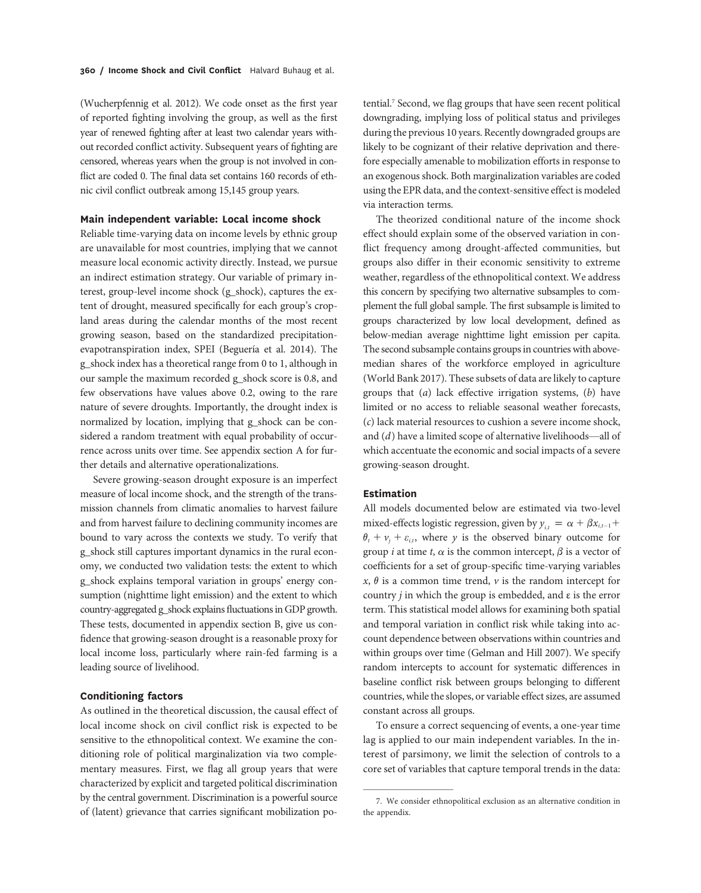(Wucherpfennig et al. 2012). We code onset as the first year of reported fighting involving the group, as well as the first year of renewed fighting after at least two calendar years without recorded conflict activity. Subsequent years of fighting are censored, whereas years when the group is not involved in conflict are coded 0. The final data set contains 160 records of ethnic civil conflict outbreak among 15,145 group years.

# Main independent variable: Local income shock

Reliable time-varying data on income levels by ethnic group are unavailable for most countries, implying that we cannot measure local economic activity directly. Instead, we pursue an indirect estimation strategy. Our variable of primary interest, group-level income shock (g\_shock), captures the extent of drought, measured specifically for each group's cropland areas during the calendar months of the most recent growing season, based on the standardized precipitationevapotranspiration index, SPEI (Beguería et al. 2014). The g\_shock index has a theoretical range from 0 to 1, although in our sample the maximum recorded g\_shock score is 0.8, and few observations have values above 0.2, owing to the rare nature of severe droughts. Importantly, the drought index is normalized by location, implying that g\_shock can be considered a random treatment with equal probability of occurrence across units over time. See appendix section A for further details and alternative operationalizations.

Severe growing-season drought exposure is an imperfect measure of local income shock, and the strength of the transmission channels from climatic anomalies to harvest failure and from harvest failure to declining community incomes are bound to vary across the contexts we study. To verify that g\_shock still captures important dynamics in the rural economy, we conducted two validation tests: the extent to which g\_shock explains temporal variation in groups' energy consumption (nighttime light emission) and the extent to which country-aggregated g\_shock explains fluctuations in GDP growth. These tests, documented in appendix section B, give us confidence that growing-season drought is a reasonable proxy for local income loss, particularly where rain-fed farming is a leading source of livelihood.

# Conditioning factors

As outlined in the theoretical discussion, the causal effect of local income shock on civil conflict risk is expected to be sensitive to the ethnopolitical context. We examine the conditioning role of political marginalization via two complementary measures. First, we flag all group years that were characterized by explicit and targeted political discrimination by the central government. Discrimination is a powerful source of (latent) grievance that carries significant mobilization po-

tential.7 Second, we flag groups that have seen recent political downgrading, implying loss of political status and privileges during the previous 10 years. Recently downgraded groups are likely to be cognizant of their relative deprivation and therefore especially amenable to mobilization efforts in response to an exogenous shock. Both marginalization variables are coded using the EPR data, and the context-sensitive effect is modeled via interaction terms.

The theorized conditional nature of the income shock effect should explain some of the observed variation in conflict frequency among drought-affected communities, but groups also differ in their economic sensitivity to extreme weather, regardless of the ethnopolitical context. We address this concern by specifying two alternative subsamples to complement the full global sample. The first subsample is limited to groups characterized by low local development, defined as below-median average nighttime light emission per capita. The second subsample contains groups in countries with abovemedian shares of the workforce employed in agriculture (World Bank 2017). These subsets of data are likely to capture groups that  $(a)$  lack effective irrigation systems,  $(b)$  have limited or no access to reliable seasonal weather forecasts, (c) lack material resources to cushion a severe income shock, and (d) have a limited scope of alternative livelihoods—all of which accentuate the economic and social impacts of a severe growing-season drought.

# Estimation

All models documented below are estimated via two-level mixed-effects logistic regression, given by  $y_{i,t} = \alpha + \beta x_{i,t-1} + \beta x_{i,t}$  $\theta_t + v_i + \varepsilon_{i,t}$ , where y is the observed binary outcome for group *i* at time *t*,  $\alpha$  is the common intercept,  $\beta$  is a vector of coefficients for a set of group-specific time-varying variables  $x, \theta$  is a common time trend,  $\nu$  is the random intercept for country *j* in which the group is embedded, and  $\varepsilon$  is the error term. This statistical model allows for examining both spatial and temporal variation in conflict risk while taking into account dependence between observations within countries and within groups over time (Gelman and Hill 2007). We specify random intercepts to account for systematic differences in baseline conflict risk between groups belonging to different countries, while the slopes, or variable effect sizes, are assumed constant across all groups.

To ensure a correct sequencing of events, a one-year time lag is applied to our main independent variables. In the interest of parsimony, we limit the selection of controls to a core set of variables that capture temporal trends in the data:

<sup>7.</sup> We consider ethnopolitical exclusion as an alternative condition in the appendix.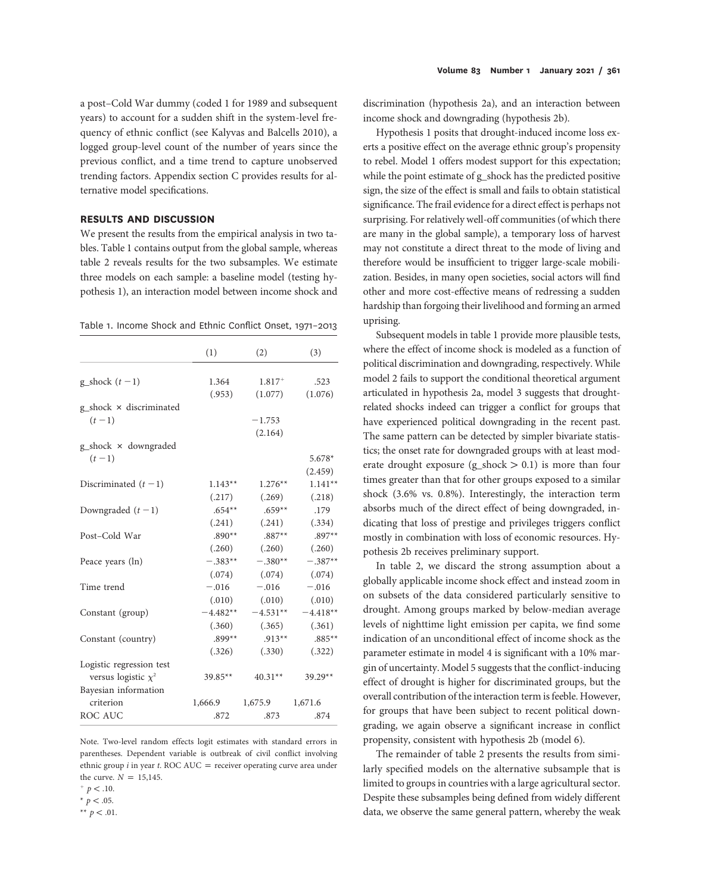a post–Cold War dummy (coded 1 for 1989 and subsequent years) to account for a sudden shift in the system-level frequency of ethnic conflict (see Kalyvas and Balcells 2010), a logged group-level count of the number of years since the previous conflict, and a time trend to capture unobserved trending factors. Appendix section C provides results for alternative model specifications.

## RESULTS AND DISCUSSION

We present the results from the empirical analysis in two tables. Table 1 contains output from the global sample, whereas table 2 reveals results for the two subsamples. We estimate three models on each sample: a baseline model (testing hypothesis 1), an interaction model between income shock and

Table 1. Income Shock and Ethnic Conflict Onset, 1971–2013

|                                             | (1)        | (2)                            | (3)             |
|---------------------------------------------|------------|--------------------------------|-----------------|
| g_shock $(t-1)$                             | 1.364      | $1.817+$<br>$(.953)$ $(1.077)$ | .523<br>(1.076) |
| $g$ shock $\times$ discriminated<br>$(t-1)$ |            | $-1.753$                       |                 |
|                                             |            | (2.164)                        |                 |
| g_shock × downgraded                        |            |                                |                 |
| $(t-1)$                                     |            |                                | $5.678*$        |
|                                             |            |                                | (2.459)         |
| Discriminated $(t-1)$                       | $1.143**$  | $1.276**$                      | $1.141**$       |
|                                             | (.217)     | (.269)                         | (.218)          |
| Downgraded $(t-1)$                          | $.654***$  | $.659**$                       | .179            |
|                                             |            | $(.241)$ $(.241)$ $(.334)$     |                 |
| Post-Cold War                               | $.890**$   | $.887**$                       | $.897**$        |
|                                             |            | $(.260)$ $(.260)$              | (.260)          |
| Peace years (ln)                            | $-.383**$  | $-.380**$                      | $-.387**$       |
|                                             |            | $(.074)$ $(.074)$ $(.074)$     |                 |
| Time trend                                  | $-.016$    | $-.016$                        | $-.016$         |
|                                             |            | $(0.010)$ $(0.010)$ $(0.010)$  |                 |
| Constant (group)                            | $-4.482**$ | $-4.531**$                     | $-4.418**$      |
|                                             |            | $(.360)$ $(.365)$ $(.361)$     |                 |
| Constant (country)                          | $.899**$   | $.913**$                       | $.885***$       |
|                                             | (.326)     | (.330)                         | (.322)          |
| Logistic regression test                    |            |                                |                 |
| versus logistic $\chi^2$                    | $39.85**$  | $40.31**$                      | $39.29**$       |
| Bayesian information                        |            |                                |                 |
| criterion                                   |            | 1,666.9 1,675.9 1,671.6        |                 |
| <b>ROC AUC</b>                              | .872       | .873                           | .874            |

Note. Two-level random effects logit estimates with standard errors in parentheses. Dependent variable is outbreak of civil conflict involving ethnic group  $i$  in year  $t$ . ROC AUC = receiver operating curve area under the curve.  $N = 15,145$ .

\*  $p < .05$ .

\*\*  $p < .01$ .

discrimination (hypothesis 2a), and an interaction between income shock and downgrading (hypothesis 2b).

Hypothesis 1 posits that drought-induced income loss exerts a positive effect on the average ethnic group's propensity to rebel. Model 1 offers modest support for this expectation; while the point estimate of g\_shock has the predicted positive sign, the size of the effect is small and fails to obtain statistical significance. The frail evidence for a direct effect is perhaps not surprising. For relatively well-off communities (of which there are many in the global sample), a temporary loss of harvest may not constitute a direct threat to the mode of living and therefore would be insufficient to trigger large-scale mobilization. Besides, in many open societies, social actors will find other and more cost-effective means of redressing a sudden hardship than forgoing their livelihood and forming an armed uprising.

Subsequent models in table 1 provide more plausible tests, where the effect of income shock is modeled as a function of political discrimination and downgrading, respectively. While model 2 fails to support the conditional theoretical argument articulated in hypothesis 2a, model 3 suggests that droughtrelated shocks indeed can trigger a conflict for groups that have experienced political downgrading in the recent past. The same pattern can be detected by simpler bivariate statistics; the onset rate for downgraded groups with at least moderate drought exposure (g\_shock  $> 0.1$ ) is more than four times greater than that for other groups exposed to a similar shock (3.6% vs. 0.8%). Interestingly, the interaction term absorbs much of the direct effect of being downgraded, indicating that loss of prestige and privileges triggers conflict mostly in combination with loss of economic resources. Hypothesis 2b receives preliminary support.

In table 2, we discard the strong assumption about a globally applicable income shock effect and instead zoom in on subsets of the data considered particularly sensitive to drought. Among groups marked by below-median average levels of nighttime light emission per capita, we find some indication of an unconditional effect of income shock as the parameter estimate in model 4 is significant with a 10% margin of uncertainty. Model 5 suggests that the conflict-inducing effect of drought is higher for discriminated groups, but the overall contribution of the interaction term is feeble. However, for groups that have been subject to recent political downgrading, we again observe a significant increase in conflict propensity, consistent with hypothesis 2b (model 6).

The remainder of table 2 presents the results from similarly specified models on the alternative subsample that is limited to groups in countries with a large agricultural sector. Despite these subsamples being defined from widely different data, we observe the same general pattern, whereby the weak

 $p < .10$ .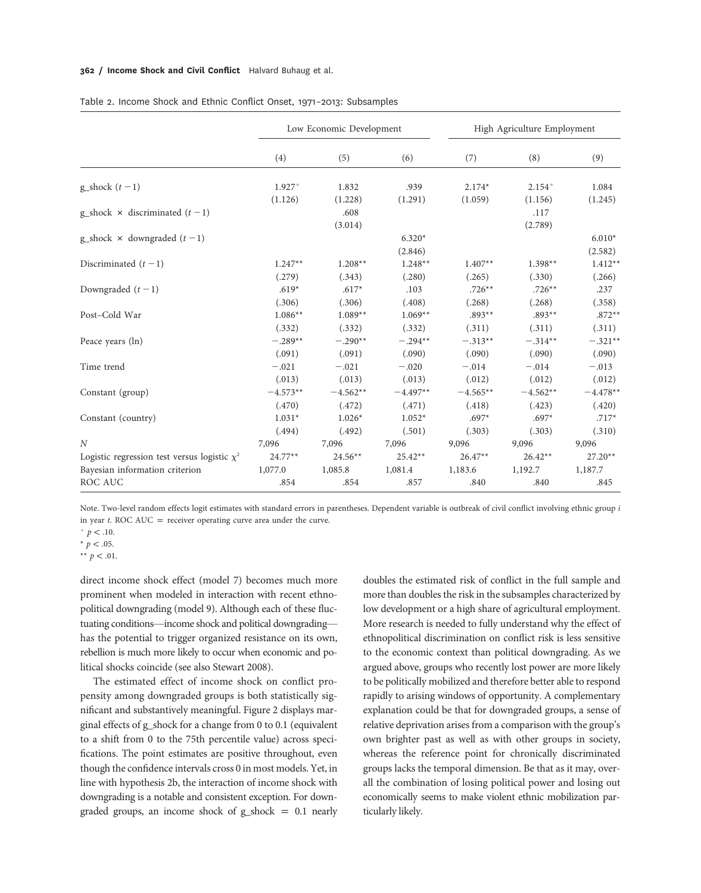#### 362 / Income Shock and Civil Conflict Halvard Buhaug et al.

|                                                   | Low Economic Development |            |            | High Agriculture Employment |            |            |
|---------------------------------------------------|--------------------------|------------|------------|-----------------------------|------------|------------|
|                                                   | (4)                      | (5)        | (6)        | (7)                         | (8)        | (9)        |
| g_shock $(t-1)$                                   | $1.927+$                 | 1.832      | .939       | $2.174*$                    | $2.154+$   | 1.084      |
|                                                   | (1.126)                  | (1.228)    | (1.291)    | (1.059)                     | (1.156)    | (1.245)    |
| g_shock $\times$ discriminated $(t-1)$            |                          | .608       |            |                             | .117       |            |
|                                                   |                          | (3.014)    |            |                             | (2.789)    |            |
| g_shock $\times$ downgraded $(t-1)$               |                          |            | $6.320*$   |                             |            | $6.010*$   |
|                                                   |                          |            | (2.846)    |                             |            | (2.582)    |
| Discriminated $(t-1)$                             | $1.247**$                | $1.208**$  | $1.248**$  | $1.407**$                   | $1.398**$  | $1.412**$  |
|                                                   | (.279)                   | (.343)     | (.280)     | (.265)                      | (.330)     | (.266)     |
| Downgraded $(t-1)$                                | $.619*$                  | $.617*$    | .103       | $.726**$                    | $.726**$   | .237       |
|                                                   | (.306)                   | (.306)     | (.408)     | (.268)                      | (.268)     | (.358)     |
| Post-Cold War                                     | $1.086**$                | $1.089**$  | $1.069**$  | $.893**$                    | $.893**$   | $.872**$   |
|                                                   | (.332)                   | (.332)     | (.332)     | (.311)                      | (.311)     | (.311)     |
| Peace years (ln)                                  | $-.289**$                | $-.290**$  | $-.294**$  | $-.313**$                   | $-.314**$  | $-.321**$  |
|                                                   | (.091)                   | (.091)     | (.090)     | (.090)                      | (.090)     | (.090)     |
| Time trend                                        | $-.021$                  | $-.021$    | $-.020$    | $-.014$                     | $-.014$    | $-.013$    |
|                                                   | (.013)                   | (.013)     | (.013)     | (.012)                      | (.012)     | (.012)     |
| Constant (group)                                  | $-4.573**$               | $-4.562**$ | $-4.497**$ | $-4.565**$                  | $-4.562**$ | $-4.478**$ |
|                                                   | (.470)                   | (.472)     | (.471)     | (.418)                      | (.423)     | (.420)     |
| Constant (country)                                | $1.031*$                 | $1.026*$   | $1.052*$   | $.697*$                     | $.697*$    | $.717*$    |
|                                                   | (.494)                   | (.492)     | (.501)     | (.303)                      | (.303)     | (.310)     |
| $\boldsymbol{N}$                                  | 7,096                    | 7,096      | 7,096      | 9,096                       | 9,096      | 9,096      |
| Logistic regression test versus logistic $\chi^2$ | $24.77**$                | $24.56**$  | $25.42**$  | $26.47**$                   | $26.42**$  | $27.20**$  |
| Bayesian information criterion                    | 1,077.0                  | 1,085.8    | 1,081.4    | 1,183.6                     | 1,192.7    | 1,187.7    |
| ROC AUC                                           | .854                     | .854       | .857       | .840                        | .840       | .845       |

|  |  |  |  | Table 2. Income Shock and Ethnic Conflict Onset, 1971-2013: Subsamples |
|--|--|--|--|------------------------------------------------------------------------|
|  |  |  |  |                                                                        |

Note. Two-level random effects logit estimates with standard errors in parentheses. Dependent variable is outbreak of civil conflict involving ethnic group i in year  $t$ . ROC AUC = receiver operating curve area under the curve.

\*\*  $p < .01$ .

direct income shock effect (model 7) becomes much more prominent when modeled in interaction with recent ethnopolitical downgrading (model 9). Although each of these fluctuating conditions—income shock and political downgrading has the potential to trigger organized resistance on its own, rebellion is much more likely to occur when economic and political shocks coincide (see also Stewart 2008).

The estimated effect of income shock on conflict propensity among downgraded groups is both statistically significant and substantively meaningful. Figure 2 displays marginal effects of g\_shock for a change from 0 to 0.1 (equivalent to a shift from 0 to the 75th percentile value) across specifications. The point estimates are positive throughout, even though the confidence intervals cross 0 in most models. Yet, in line with hypothesis 2b, the interaction of income shock with downgrading is a notable and consistent exception. For downgraded groups, an income shock of  $g$ \_shock = 0.1 nearly doubles the estimated risk of conflict in the full sample and more than doubles the risk in the subsamples characterized by low development or a high share of agricultural employment. More research is needed to fully understand why the effect of ethnopolitical discrimination on conflict risk is less sensitive to the economic context than political downgrading. As we argued above, groups who recently lost power are more likely to be politically mobilized and therefore better able to respond rapidly to arising windows of opportunity. A complementary explanation could be that for downgraded groups, a sense of relative deprivation arises from a comparison with the group's own brighter past as well as with other groups in society, whereas the reference point for chronically discriminated groups lacks the temporal dimension. Be that as it may, overall the combination of losing political power and losing out economically seems to make violent ethnic mobilization particularly likely.

 $p < .10$ .

<sup>\*</sup>  $p < .05$ .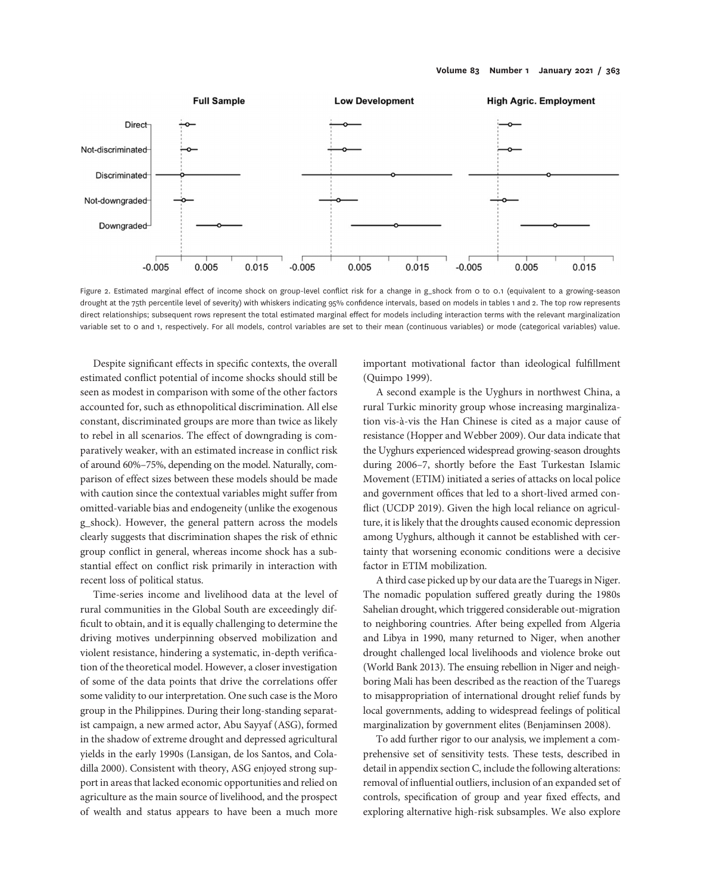

Figure 2. Estimated marginal effect of income shock on group-level conflict risk for a change in g\_shock from 0 to 0.1 (equivalent to a growing-season drought at the 75th percentile level of severity) with whiskers indicating 95% confidence intervals, based on models in tables 1 and 2. The top row represents direct relationships; subsequent rows represent the total estimated marginal effect for models including interaction terms with the relevant marginalization variable set to 0 and 1, respectively. For all models, control variables are set to their mean (continuous variables) or mode (categorical variables) value.

Despite significant effects in specific contexts, the overall estimated conflict potential of income shocks should still be seen as modest in comparison with some of the other factors accounted for, such as ethnopolitical discrimination. All else constant, discriminated groups are more than twice as likely to rebel in all scenarios. The effect of downgrading is comparatively weaker, with an estimated increase in conflict risk of around 60%–75%, depending on the model. Naturally, comparison of effect sizes between these models should be made with caution since the contextual variables might suffer from omitted-variable bias and endogeneity (unlike the exogenous g\_shock). However, the general pattern across the models clearly suggests that discrimination shapes the risk of ethnic group conflict in general, whereas income shock has a substantial effect on conflict risk primarily in interaction with recent loss of political status.

Time-series income and livelihood data at the level of rural communities in the Global South are exceedingly difficult to obtain, and it is equally challenging to determine the driving motives underpinning observed mobilization and violent resistance, hindering a systematic, in-depth verification of the theoretical model. However, a closer investigation of some of the data points that drive the correlations offer some validity to our interpretation. One such case is the Moro group in the Philippines. During their long-standing separatist campaign, a new armed actor, Abu Sayyaf (ASG), formed in the shadow of extreme drought and depressed agricultural yields in the early 1990s (Lansigan, de los Santos, and Coladilla 2000). Consistent with theory, ASG enjoyed strong support in areas that lacked economic opportunities and relied on agriculture as the main source of livelihood, and the prospect of wealth and status appears to have been a much more

important motivational factor than ideological fulfillment (Quimpo 1999).

A second example is the Uyghurs in northwest China, a rural Turkic minority group whose increasing marginalization vis-à-vis the Han Chinese is cited as a major cause of resistance (Hopper and Webber 2009). Our data indicate that the Uyghurs experienced widespread growing-season droughts during 2006–7, shortly before the East Turkestan Islamic Movement (ETIM) initiated a series of attacks on local police and government offices that led to a short-lived armed conflict (UCDP 2019). Given the high local reliance on agriculture, it is likely that the droughts caused economic depression among Uyghurs, although it cannot be established with certainty that worsening economic conditions were a decisive factor in ETIM mobilization.

A third case picked up by our data are the Tuaregs in Niger. The nomadic population suffered greatly during the 1980s Sahelian drought, which triggered considerable out-migration to neighboring countries. After being expelled from Algeria and Libya in 1990, many returned to Niger, when another drought challenged local livelihoods and violence broke out (World Bank 2013). The ensuing rebellion in Niger and neighboring Mali has been described as the reaction of the Tuaregs to misappropriation of international drought relief funds by local governments, adding to widespread feelings of political marginalization by government elites (Benjaminsen 2008).

To add further rigor to our analysis, we implement a comprehensive set of sensitivity tests. These tests, described in detail in appendix section C, include the following alterations: removal of influential outliers, inclusion of an expanded set of controls, specification of group and year fixed effects, and exploring alternative high-risk subsamples. We also explore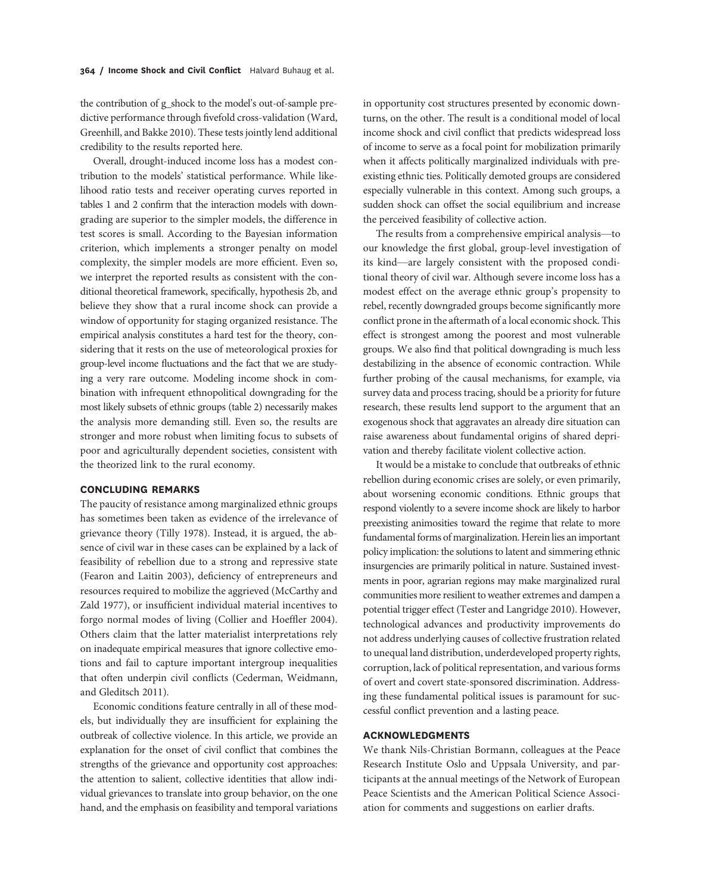the contribution of g\_shock to the model's out-of-sample predictive performance through fivefold cross-validation (Ward, Greenhill, and Bakke 2010). These tests jointly lend additional credibility to the results reported here.

Overall, drought-induced income loss has a modest contribution to the models' statistical performance. While likelihood ratio tests and receiver operating curves reported in tables 1 and 2 confirm that the interaction models with downgrading are superior to the simpler models, the difference in test scores is small. According to the Bayesian information criterion, which implements a stronger penalty on model complexity, the simpler models are more efficient. Even so, we interpret the reported results as consistent with the conditional theoretical framework, specifically, hypothesis 2b, and believe they show that a rural income shock can provide a window of opportunity for staging organized resistance. The empirical analysis constitutes a hard test for the theory, considering that it rests on the use of meteorological proxies for group-level income fluctuations and the fact that we are studying a very rare outcome. Modeling income shock in combination with infrequent ethnopolitical downgrading for the most likely subsets of ethnic groups (table 2) necessarily makes the analysis more demanding still. Even so, the results are stronger and more robust when limiting focus to subsets of poor and agriculturally dependent societies, consistent with the theorized link to the rural economy.

# CONCLUDING REMARKS

The paucity of resistance among marginalized ethnic groups has sometimes been taken as evidence of the irrelevance of grievance theory (Tilly 1978). Instead, it is argued, the absence of civil war in these cases can be explained by a lack of feasibility of rebellion due to a strong and repressive state (Fearon and Laitin 2003), deficiency of entrepreneurs and resources required to mobilize the aggrieved (McCarthy and Zald 1977), or insufficient individual material incentives to forgo normal modes of living (Collier and Hoeffler 2004). Others claim that the latter materialist interpretations rely on inadequate empirical measures that ignore collective emotions and fail to capture important intergroup inequalities that often underpin civil conflicts (Cederman, Weidmann, and Gleditsch 2011).

Economic conditions feature centrally in all of these models, but individually they are insufficient for explaining the outbreak of collective violence. In this article, we provide an explanation for the onset of civil conflict that combines the strengths of the grievance and opportunity cost approaches: the attention to salient, collective identities that allow individual grievances to translate into group behavior, on the one hand, and the emphasis on feasibility and temporal variations

in opportunity cost structures presented by economic downturns, on the other. The result is a conditional model of local income shock and civil conflict that predicts widespread loss of income to serve as a focal point for mobilization primarily when it affects politically marginalized individuals with preexisting ethnic ties. Politically demoted groups are considered especially vulnerable in this context. Among such groups, a sudden shock can offset the social equilibrium and increase the perceived feasibility of collective action.

The results from a comprehensive empirical analysis—to our knowledge the first global, group-level investigation of its kind—are largely consistent with the proposed conditional theory of civil war. Although severe income loss has a modest effect on the average ethnic group's propensity to rebel, recently downgraded groups become significantly more conflict prone in the aftermath of a local economic shock. This effect is strongest among the poorest and most vulnerable groups. We also find that political downgrading is much less destabilizing in the absence of economic contraction. While further probing of the causal mechanisms, for example, via survey data and process tracing, should be a priority for future research, these results lend support to the argument that an exogenous shock that aggravates an already dire situation can raise awareness about fundamental origins of shared deprivation and thereby facilitate violent collective action.

It would be a mistake to conclude that outbreaks of ethnic rebellion during economic crises are solely, or even primarily, about worsening economic conditions. Ethnic groups that respond violently to a severe income shock are likely to harbor preexisting animosities toward the regime that relate to more fundamental forms of marginalization. Herein lies an important policy implication: the solutions to latent and simmering ethnic insurgencies are primarily political in nature. Sustained investments in poor, agrarian regions may make marginalized rural communities more resilient to weather extremes and dampen a potential trigger effect (Tester and Langridge 2010). However, technological advances and productivity improvements do not address underlying causes of collective frustration related to unequal land distribution, underdeveloped property rights, corruption, lack of political representation, and various forms of overt and covert state-sponsored discrimination. Addressing these fundamental political issues is paramount for successful conflict prevention and a lasting peace.

# ACKNOWLEDGMENTS

We thank Nils-Christian Bormann, colleagues at the Peace Research Institute Oslo and Uppsala University, and participants at the annual meetings of the Network of European Peace Scientists and the American Political Science Association for comments and suggestions on earlier drafts.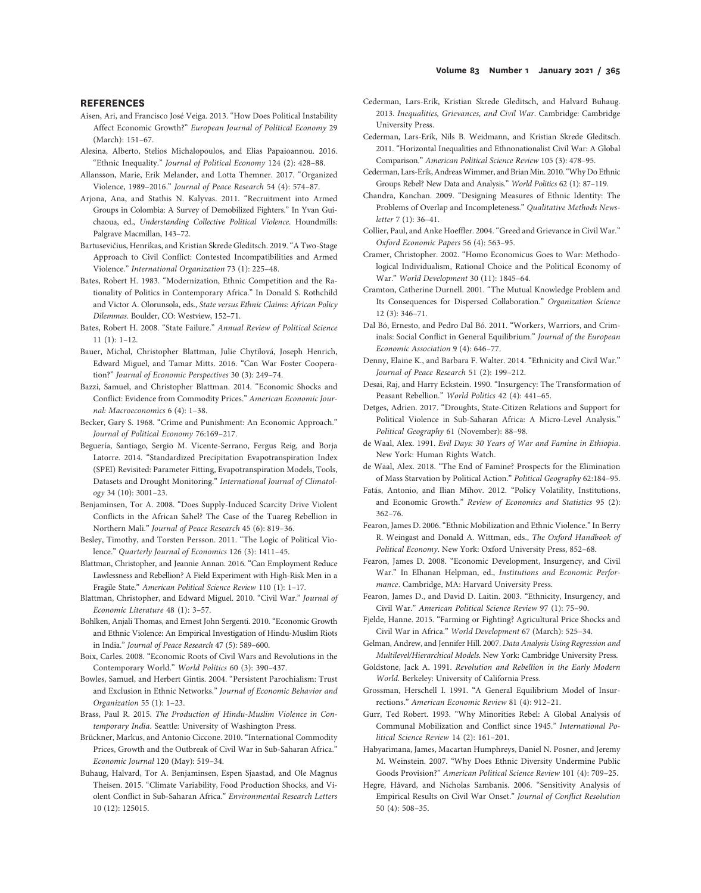#### REFERENCES

- Aisen, Ari, and Francisco José Veiga. 2013. "How Does Political Instability Affect Economic Growth?" European Journal of Political Economy 29 (March): 151–67.
- Alesina, Alberto, Stelios Michalopoulos, and Elias Papaioannou. 2016. "Ethnic Inequality." Journal of Political Economy 124 (2): 428–88.
- Allansson, Marie, Erik Melander, and Lotta Themner. 2017. "Organized Violence, 1989–2016." Journal of Peace Research 54 (4): 574–87.
- Arjona, Ana, and Stathis N. Kalyvas. 2011. "Recruitment into Armed Groups in Colombia: A Survey of Demobilized Fighters." In Yvan Guichaoua, ed., Understanding Collective Political Violence. Houndmills: Palgrave Macmillan, 143–72.
- Bartusevičius, Henrikas, and Kristian Skrede Gleditsch. 2019."A Two-Stage Approach to Civil Conflict: Contested Incompatibilities and Armed Violence." International Organization 73 (1): 225–48.
- Bates, Robert H. 1983. "Modernization, Ethnic Competition and the Rationality of Politics in Contemporary Africa." In Donald S. Rothchild and Victor A. Olorunsola, eds., State versus Ethnic Claims: African Policy Dilemmas. Boulder, CO: Westview, 152–71.
- Bates, Robert H. 2008. "State Failure." Annual Review of Political Science 11 (1): 1–12.
- Bauer, Michal, Christopher Blattman, Julie Chytilová, Joseph Henrich, Edward Miguel, and Tamar Mitts. 2016. "Can War Foster Cooperation?" Journal of Economic Perspectives 30 (3): 249–74.
- Bazzi, Samuel, and Christopher Blattman. 2014. "Economic Shocks and Conflict: Evidence from Commodity Prices." American Economic Journal: Macroeconomics 6 (4): 1–38.
- Becker, Gary S. 1968. "Crime and Punishment: An Economic Approach." Journal of Political Economy 76:169–217.
- Beguería, Santiago, Sergio M. Vicente-Serrano, Fergus Reig, and Borja Latorre. 2014. "Standardized Precipitation Evapotranspiration Index (SPEI) Revisited: Parameter Fitting, Evapotranspiration Models, Tools, Datasets and Drought Monitoring." International Journal of Climatology 34 (10): 3001–23.
- Benjaminsen, Tor A. 2008. "Does Supply-Induced Scarcity Drive Violent Conflicts in the African Sahel? The Case of the Tuareg Rebellion in Northern Mali." Journal of Peace Research 45 (6): 819–36.
- Besley, Timothy, and Torsten Persson. 2011. "The Logic of Political Violence." Quarterly Journal of Economics 126 (3): 1411–45.
- Blattman, Christopher, and Jeannie Annan. 2016. "Can Employment Reduce Lawlessness and Rebellion? A Field Experiment with High-Risk Men in a Fragile State." American Political Science Review 110 (1): 1–17.
- Blattman, Christopher, and Edward Miguel. 2010. "Civil War." Journal of Economic Literature 48 (1): 3–57.
- Bohlken, Anjali Thomas, and Ernest John Sergenti. 2010. "Economic Growth and Ethnic Violence: An Empirical Investigation of Hindu-Muslim Riots in India." Journal of Peace Research 47 (5): 589–600.
- Boix, Carles. 2008. "Economic Roots of Civil Wars and Revolutions in the Contemporary World." World Politics 60 (3): 390–437.
- Bowles, Samuel, and Herbert Gintis. 2004. "Persistent Parochialism: Trust and Exclusion in Ethnic Networks." Journal of Economic Behavior and Organization 55 (1): 1–23.
- Brass, Paul R. 2015. The Production of Hindu-Muslim Violence in Contemporary India. Seattle: University of Washington Press.
- Brückner, Markus, and Antonio Ciccone. 2010. "International Commodity Prices, Growth and the Outbreak of Civil War in Sub-Saharan Africa." Economic Journal 120 (May): 519–34.
- Buhaug, Halvard, Tor A. Benjaminsen, Espen Sjaastad, and Ole Magnus Theisen. 2015. "Climate Variability, Food Production Shocks, and Violent Conflict in Sub-Saharan Africa." Environmental Research Letters 10 (12): 125015.
- Cederman, Lars-Erik, Kristian Skrede Gleditsch, and Halvard Buhaug. 2013. Inequalities, Grievances, and Civil War. Cambridge: Cambridge University Press.
- Cederman, Lars-Erik, Nils B. Weidmann, and Kristian Skrede Gleditsch. 2011. "Horizontal Inequalities and Ethnonationalist Civil War: A Global Comparison." American Political Science Review 105 (3): 478–95.
- Cederman, Lars-Erik, AndreasWimmer, and Brian Min. 2010."Why Do Ethnic Groups Rebel? New Data and Analysis." World Politics 62 (1): 87–119.
- Chandra, Kanchan. 2009. "Designing Measures of Ethnic Identity: The Problems of Overlap and Incompleteness." Qualitative Methods Newsletter 7 (1): 36–41.
- Collier, Paul, and Anke Hoeffler. 2004."Greed and Grievance in Civil War." Oxford Economic Papers 56 (4): 563–95.
- Cramer, Christopher. 2002. "Homo Economicus Goes to War: Methodological Individualism, Rational Choice and the Political Economy of War." World Development 30 (11): 1845–64.
- Cramton, Catherine Durnell. 2001. "The Mutual Knowledge Problem and Its Consequences for Dispersed Collaboration." Organization Science 12 (3): 346–71.
- Dal Bó, Ernesto, and Pedro Dal Bó. 2011. "Workers, Warriors, and Criminals: Social Conflict in General Equilibrium." Journal of the European Economic Association 9 (4): 646–77.
- Denny, Elaine K., and Barbara F. Walter. 2014. "Ethnicity and Civil War." Journal of Peace Research 51 (2): 199–212.
- Desai, Raj, and Harry Eckstein. 1990. "Insurgency: The Transformation of Peasant Rebellion." World Politics 42 (4): 441–65.
- Detges, Adrien. 2017. "Droughts, State-Citizen Relations and Support for Political Violence in Sub-Saharan Africa: A Micro-Level Analysis." Political Geography 61 (November): 88–98.
- de Waal, Alex. 1991. Evil Days: 30 Years of War and Famine in Ethiopia. New York: Human Rights Watch.
- de Waal, Alex. 2018. "The End of Famine? Prospects for the Elimination of Mass Starvation by Political Action." Political Geography 62:184–95.
- Fatás, Antonio, and Ilian Mihov. 2012. "Policy Volatility, Institutions, and Economic Growth." Review of Economics and Statistics 95 (2): 362–76.
- Fearon, James D. 2006."Ethnic Mobilization and Ethnic Violence."In Berry R. Weingast and Donald A. Wittman, eds., The Oxford Handbook of Political Economy. New York: Oxford University Press, 852–68.
- Fearon, James D. 2008. "Economic Development, Insurgency, and Civil War." In Elhanan Helpman, ed., Institutions and Economic Performance. Cambridge, MA: Harvard University Press.
- Fearon, James D., and David D. Laitin. 2003. "Ethnicity, Insurgency, and Civil War." American Political Science Review 97 (1): 75–90.
- Fjelde, Hanne. 2015. "Farming or Fighting? Agricultural Price Shocks and Civil War in Africa." World Development 67 (March): 525–34.
- Gelman, Andrew, and Jennifer Hill. 2007. Data Analysis Using Regression and Multilevel/Hierarchical Models. New York: Cambridge University Press.
- Goldstone, Jack A. 1991. Revolution and Rebellion in the Early Modern World. Berkeley: University of California Press.
- Grossman, Herschell I. 1991. "A General Equilibrium Model of Insurrections." American Economic Review 81 (4): 912–21.
- Gurr, Ted Robert. 1993. "Why Minorities Rebel: A Global Analysis of Communal Mobilization and Conflict since 1945." International Political Science Review 14 (2): 161–201.
- Habyarimana, James, Macartan Humphreys, Daniel N. Posner, and Jeremy M. Weinstein. 2007. "Why Does Ethnic Diversity Undermine Public Goods Provision?" American Political Science Review 101 (4): 709–25.
- Hegre, Håvard, and Nicholas Sambanis. 2006. "Sensitivity Analysis of Empirical Results on Civil War Onset." Journal of Conflict Resolution 50 (4): 508–35.